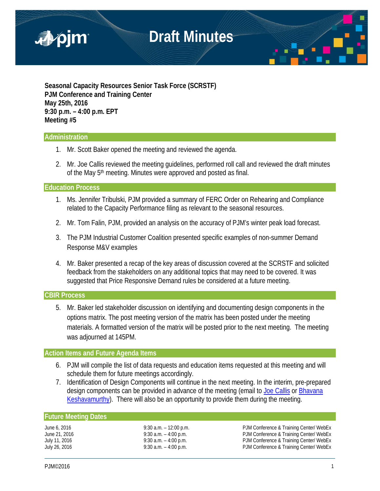

**Seasonal Capacity Resources Senior Task Force (SCRSTF) PJM Conference and Training Center May 25th, 2016 9:30 p.m. – 4:00 p.m. EPT Meeting #5**

#### **Administration**

- 1. Mr. Scott Baker opened the meeting and reviewed the agenda.
- 2. Mr. Joe Callis reviewed the meeting guidelines, performed roll call and reviewed the draft minutes of the May 5<sup>th</sup> meeting. Minutes were approved and posted as final.

#### **Education Process**

- 1. Ms. Jennifer Tribulski, PJM provided a summary of FERC Order on Rehearing and Compliance related to the Capacity Performance filing as relevant to the seasonal resources.
- 2. Mr. Tom Falin, PJM, provided an analysis on the accuracy of PJM's winter peak load forecast.
- 3. The PJM Industrial Customer Coalition presented specific examples of non-summer Demand Response M&V examples
- 4. Mr. Baker presented a recap of the key areas of discussion covered at the SCRSTF and solicited feedback from the stakeholders on any additional topics that may need to be covered. It was suggested that Price Responsive Demand rules be considered at a future meeting.

#### **CBIR Process**

5. Mr. Baker led stakeholder discussion on identifying and documenting design components in the options matrix. The post meeting version of the matrix has been posted under the meeting materials. A formatted version of the matrix will be posted prior to the next meeting. The meeting was adjourned at 145PM.

#### **Action Items and Future Agenda Items**

- 6. PJM will compile the list of data requests and education items requested at this meeting and will schedule them for future meetings accordingly.
- 7. Identification of Design Components will continue in the next meeting. In the interim, pre-prepared design components can be provided in advance of the meeting (email to [Joe Callis](mailto:Joseph.Callis@pjm.com?subject=SCRSTF%20Stakeholder%20interests) or [Bhavana](mailto:Bhavana.Murthy@pjm.com?subject=SCRSTF%20Stakeholder%20interests)  [Keshavamurthy\)](mailto:Bhavana.Murthy@pjm.com?subject=SCRSTF%20Stakeholder%20interests). There will also be an opportunity to provide them during the meeting.

#### **Future Meeting Dates**

June 6, 2016 9:30 a.m. – 12:00 p.m. PJM Conference & Training Center/ WebEx June 21, 2016 **19:30 a.m.** – 4:00 p.m. **PJM Conference & Training Center/ WebEx** July 11, 2016 **19:30 a.m.** – 4:00 p.m. PJM Conference & Training Center/ WebEx<br>July 26, 2016 **19:30 a.m.** – 4:00 p.m. PJM Conference & Training Center/ WebEx PJM Conference & Training Center/ WebEx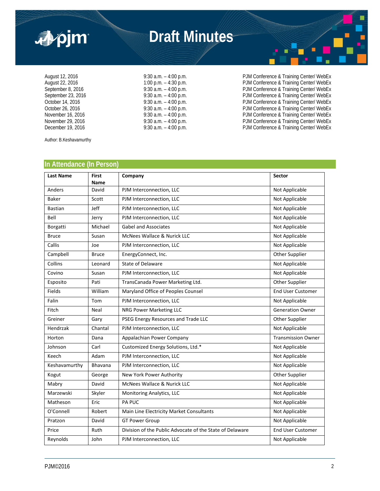



August 12, 2016 <br>August 22, 2016 **9:30 a.m.** – 4:00 p.m. – 4:30 p.m. PJM Conference & Training Center/ WebEx<br>PJM Conference & Training Center/ WebEx August 22, 2016 <br>
August 22, 2016 **1:00 p.m. – 4:30 p.m.** PJM Conference & Training Center/ WebEx<br>
PJM Conference & Training Center/ WebEx September 8, 2016 <br>
9:30 a.m. – 4:00 p.m.<br>
9:30 a.m. – 4:00 p.m. PJM Conference & Training Center/ WebEx<br>
PJM Conference & Training Center/ WebEx September 23, 2016 9:30 a.m. – 4:00 p.m.<br>
October 14, 2016 9:30 a.m. – 4:00 p.m.<br>
October 26, 2016 9:30 a.m. – 4:00 p.m.<br>
November 16, 2016 9:30 a.m. – 4:00 p.m.<br>
PJM Conference & Training Center/ WebEx<br>
PJM Conference & T October 14, 2016 **12, 2016** 9:30 a.m. – 4:00 p.m. PJM Conference & Training Center/ WebEx<br>October 26, 2016 9:30 a.m. – 4:00 p.m. PJM Conference & Training Center/ WebEx PJM Conference & Training Center/ WebEx November 16, 2016 9:30 a.m. – 4:00 p.m. PJM Conference & Training Center/ WebEx November 29, 2016 <br>December 19, 2016 **19. In the Conference of Training Center/ WebEx**<br>PJM Conference & Training Center/ WebEx PJM Conference & Training Center/ WebEx

Author: B.Keshavamurthy

#### **In Attendance (In Person)**

| <b>Last Name</b> | <b>First</b><br>Name | Company                                                  | <b>Sector</b>             |
|------------------|----------------------|----------------------------------------------------------|---------------------------|
| Anders           | David                | PJM Interconnection, LLC                                 | Not Applicable            |
| <b>Baker</b>     | Scott                | PJM Interconnection, LLC                                 | Not Applicable            |
| <b>Bastian</b>   | Jeff                 | PJM Interconnection, LLC                                 | Not Applicable            |
| Bell             | Jerry                | PJM Interconnection, LLC                                 | Not Applicable            |
| Borgatti         | Michael              | <b>Gabel and Associates</b>                              | Not Applicable            |
| <b>Bruce</b>     | Susan                | McNees Wallace & Nurick LLC                              | Not Applicable            |
| Callis           | Joe                  | PJM Interconnection, LLC                                 | Not Applicable            |
| Campbell         | <b>Bruce</b>         | EnergyConnect, Inc.                                      | Other Supplier            |
| Collins          | Leonard              | State of Delaware                                        | Not Applicable            |
| Covino           | Susan                | PJM Interconnection, LLC                                 | Not Applicable            |
| Esposito         | Pati                 | TransCanada Power Marketing Ltd.                         | Other Supplier            |
| Fields           | William              | Maryland Office of Peoples Counsel                       | <b>End User Customer</b>  |
| Falin            | Tom                  | PJM Interconnection, LLC                                 | Not Applicable            |
| Fitch            | Neal                 | NRG Power Marketing LLC                                  | <b>Generation Owner</b>   |
| Greiner          | Gary                 | PSEG Energy Resources and Trade LLC                      | Other Supplier            |
| Hendrzak         | Chantal              | PJM Interconnection, LLC                                 | Not Applicable            |
| Horton           | Dana                 | Appalachian Power Company                                | <b>Transmission Owner</b> |
| Johnson          | Carl                 | Customized Energy Solutions, Ltd.*                       | Not Applicable            |
| Keech            | Adam                 | PJM Interconnection, LLC                                 | Not Applicable            |
| Keshavamurthy    | <b>Bhavana</b>       | PJM Interconnection, LLC                                 | Not Applicable            |
| Kogut            | George               | New York Power Authority                                 | Other Supplier            |
| Mabry            | David                | McNees Wallace & Nurick LLC                              | Not Applicable            |
| Marzewski        | Skyler               | Monitoring Analytics, LLC                                | Not Applicable            |
| Matheson         | Eric                 | PA PUC                                                   | Not Applicable            |
| O'Connell        | Robert               | Main Line Electricity Market Consultants                 | Not Applicable            |
| Pratzon          | David                | <b>GT Power Group</b>                                    | Not Applicable            |
| Price            | Ruth                 | Division of the Public Advocate of the State of Delaware | <b>End User Customer</b>  |
| Reynolds         | John                 | PJM Interconnection, LLC                                 | Not Applicable            |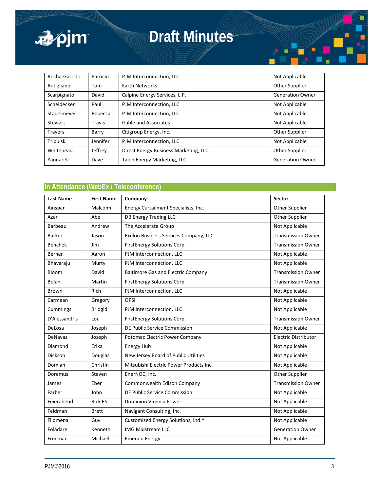

### **Draft Minutes**



#### **In Attendance (WebEx / Teleconference)**

| <b>Last Name</b> | <b>First Name</b> | Company                                   | <b>Sector</b>               |
|------------------|-------------------|-------------------------------------------|-----------------------------|
| Ainspan          | Malcolm           | Energy Curtailment Specialists, Inc.      | Other Supplier              |
| Azar             | Abe               | <b>DB Energy Trading LLC</b>              | Other Supplier              |
| Barbeau          | Andrew            | The Accelerate Group                      | Not Applicable              |
| Barker           | Jason             | Exelon Business Services Company, LLC     | <b>Transmission Owner</b>   |
| <b>Benchek</b>   | Jim               | FirstEnergy Solutions Corp.               | <b>Transmission Owner</b>   |
| Berner           | Aaron             | PJM Interconnection, LLC                  | Not Applicable              |
| Bhavaraju        | Murty             | PJM Interconnection, LLC                  | Not Applicable              |
| Bloom            | David             | <b>Baltimore Gas and Electric Company</b> | <b>Transmission Owner</b>   |
| <b>Bolan</b>     | Martin            | FirstEnergy Solutions Corp.               | <b>Transmission Owner</b>   |
| Brown            | Rich              | PJM Interconnection, LLC                  | Not Applicable              |
| Carmean          | Gregory           | OPSI                                      | Not Applicable              |
| Cummings         | <b>Bridgid</b>    | PJM Interconnection, LLC                  | Not Applicable              |
| D'Alessandris    | Lou               | FirstEnergy Solutions Corp.               | <b>Transmission Owner</b>   |
| DeLosa           | Joseph            | DE Public Service Commission              | Not Applicable              |
| <b>DeNavas</b>   | Joseph            | Potomac Electric Power Company            | <b>Electric Distributor</b> |
| Diamond          | Erika             | Energy Hub                                | Not Applicable              |
| Dickson          | Douglas           | New Jersey Board of Public Utilities      | Not Applicable              |
| Domian           | Christin          | Mitsubishi Electric Power Products Inc.   | Not Applicable              |
| Doremus          | Steven            | EnerNOC, Inc.                             | Other Supplier              |
| James            | Eber              | Commonwealth Edison Company               | <b>Transmission Owner</b>   |
| Farber           | John              | DE Public Service Commission              | Not Applicable              |
| Feierabend       | <b>Rick ES</b>    | Dominion Virginia Power                   | Not Applicable              |
| Feldman          | <b>Brett</b>      | Navigant Consulting, Inc.                 | Not Applicable              |
| Filomena         | Guy               | Customized Energy Solutions, Ltd.*        | Not Applicable              |
| Foladare         | Kenneth           | <b>IMG Midstream LLC</b>                  | <b>Generation Owner</b>     |
| Freeman          | Michael           | <b>Emerald Energy</b>                     | Not Applicable              |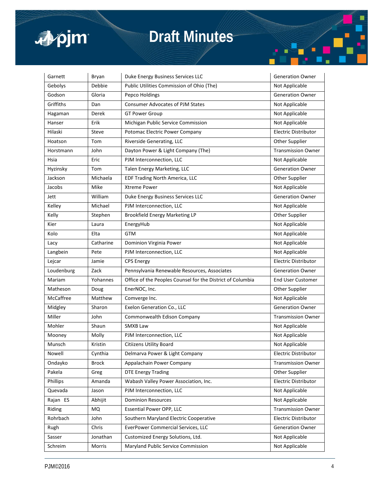

# **Draft Minutes**

| Garnett    | Bryan        | Duke Energy Business Services LLC                          | <b>Generation Owner</b>     |
|------------|--------------|------------------------------------------------------------|-----------------------------|
| Gebolys    | Debbie       | Public Utilities Commission of Ohio (The)                  | Not Applicable              |
| Godson     | Gloria       | Pepco Holdings                                             | <b>Generation Owner</b>     |
| Griffiths  | Dan          | <b>Consumer Advocates of PJM States</b>                    | Not Applicable              |
| Hagaman    | Derek        | <b>GT Power Group</b>                                      | Not Applicable              |
| Hanser     | Erik         | Michigan Public Service Commission                         | Not Applicable              |
| Hilaski    | Steve        | Potomac Electric Power Company                             | <b>Electric Distributor</b> |
| Hoatson    | Tom          | Riverside Generating, LLC                                  | Other Supplier              |
| Horstmann  | John         | Dayton Power & Light Company (The)                         | <b>Transmission Owner</b>   |
| Hsia       | Eric         | PJM Interconnection, LLC                                   | Not Applicable              |
| Hyzinsky   | Tom          | Talen Energy Marketing, LLC                                | <b>Generation Owner</b>     |
| Jackson    | Michaela     | EDF Trading North America, LLC                             | Other Supplier              |
| Jacobs     | Mike         | <b>Xtreme Power</b>                                        | Not Applicable              |
| Jett       | William      | Duke Energy Business Services LLC                          | <b>Generation Owner</b>     |
| Kelley     | Michael      | PJM Interconnection, LLC                                   | Not Applicable              |
| Kelly      | Stephen      | Brookfield Energy Marketing LP                             | Other Supplier              |
| Kier       | Laura        | EnergyHub                                                  | Not Applicable              |
| Kolo       | Elta         | <b>GTM</b>                                                 | Not Applicable              |
| Lacy       | Catharine    | Dominion Virginia Power                                    | Not Applicable              |
| Langbein   | Pete         | PJM Interconnection, LLC                                   | Not Applicable              |
| Lejcar     | Jamie        | <b>CPS Energy</b>                                          | Electric Distributor        |
| Loudenburg | Zack         | Pennsylvania Renewable Resources, Associates               | <b>Generation Owner</b>     |
| Mariam     | Yohannes     | Office of the Peoples Counsel for the District of Columbia | <b>End User Customer</b>    |
| Matheson   | Doug         | EnerNOC, Inc.                                              | Other Supplier              |
| McCaffree  | Matthew      | Comverge Inc.                                              | Not Applicable              |
| Midgley    | Sharon       | Exelon Generation Co., LLC                                 | <b>Generation Owner</b>     |
| Miller     | John         | Commonwealth Edison Company                                | <b>Transmission Owner</b>   |
| Mohler     | Shaun        | SMXB Law                                                   | Not Applicable              |
| Mooney     | Molly        | PJM Interconnection, LLC                                   | Not Applicable              |
| Munsch     | Kristin      | Citiizens Utility Board                                    | Not Applicable              |
| Nowell     | Cynthia      | Delmarva Power & Light Company                             | Electric Distributor        |
| Ondayko    | <b>Brock</b> | Appalachain Power Company                                  | <b>Transmission Owner</b>   |
| Pakela     | Greg         | <b>DTE Energy Trading</b>                                  | Other Supplier              |
| Phillips   | Amanda       | Wabash Valley Power Association, Inc.                      | Electric Distributor        |
| Quevada    | Jason        | PJM Interconnection, LLC                                   | Not Applicable              |
| Rajan ES   | Abhijit      | <b>Dominion Resources</b>                                  | Not Applicable              |
| Riding     | MQ           | Essential Power OPP, LLC                                   | <b>Transmission Owner</b>   |
| Rohrbach   | John         | Southern Maryland Electric Cooperative                     | Electric Distributor        |
| Rugh       | Chris        | <b>EverPower Commercial Services, LLC</b>                  | <b>Generation Owner</b>     |
| Sasser     | Jonathan     | Customized Energy Solutions, Ltd.                          | Not Applicable              |
| Schreim    | Morris       | Maryland Public Service Commission                         | Not Applicable              |

Ē ٤.